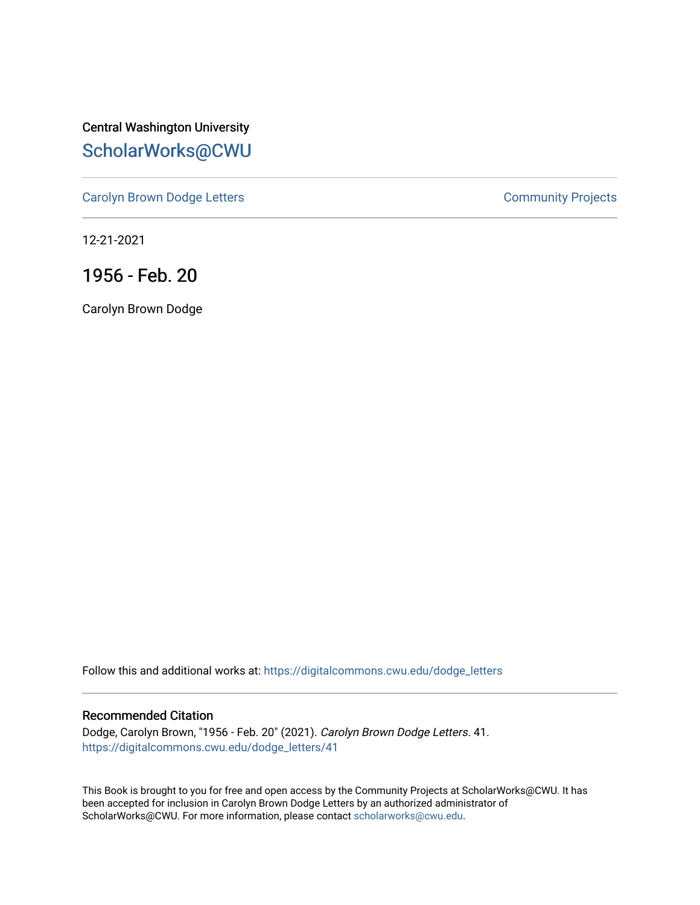Central Washington University [ScholarWorks@CWU](https://digitalcommons.cwu.edu/) 

[Carolyn Brown Dodge Letters](https://digitalcommons.cwu.edu/dodge_letters) **Community Projects** Community Projects

12-21-2021

1956 - Feb. 20

Carolyn Brown Dodge

Follow this and additional works at: [https://digitalcommons.cwu.edu/dodge\\_letters](https://digitalcommons.cwu.edu/dodge_letters?utm_source=digitalcommons.cwu.edu%2Fdodge_letters%2F41&utm_medium=PDF&utm_campaign=PDFCoverPages) 

### Recommended Citation

Dodge, Carolyn Brown, "1956 - Feb. 20" (2021). Carolyn Brown Dodge Letters. 41. [https://digitalcommons.cwu.edu/dodge\\_letters/41](https://digitalcommons.cwu.edu/dodge_letters/41?utm_source=digitalcommons.cwu.edu%2Fdodge_letters%2F41&utm_medium=PDF&utm_campaign=PDFCoverPages)

This Book is brought to you for free and open access by the Community Projects at ScholarWorks@CWU. It has been accepted for inclusion in Carolyn Brown Dodge Letters by an authorized administrator of ScholarWorks@CWU. For more information, please contact [scholarworks@cwu.edu](mailto:scholarworks@cwu.edu).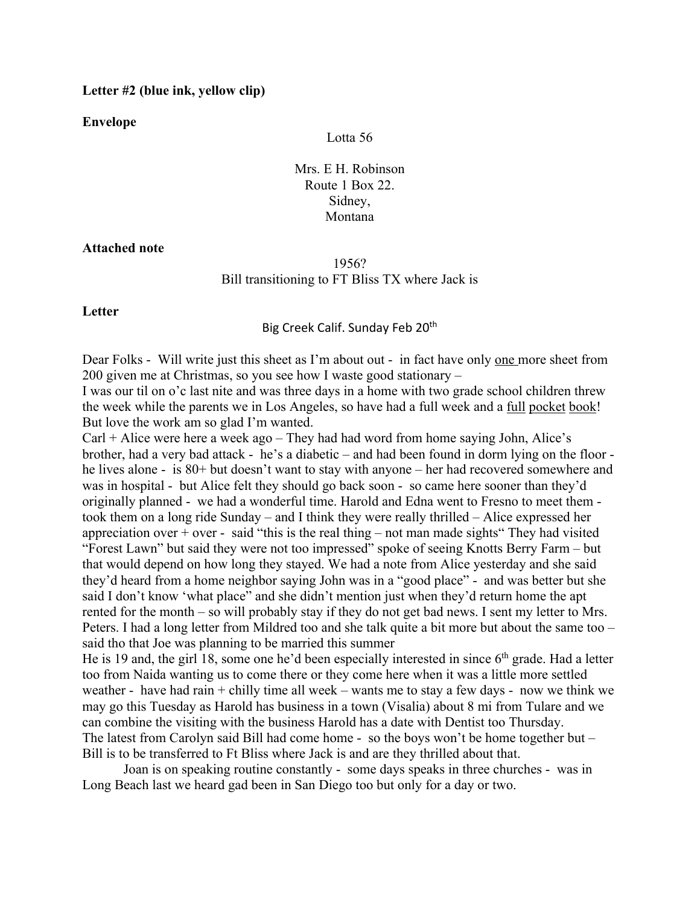### **Letter #2 (blue ink, yellow clip)**

**Envelope**

### Lotta 56

Mrs. E H. Robinson Route 1 Box 22. Sidney, Montana

### **Attached note**

# 1956? Bill transitioning to FT Bliss TX where Jack is

**Letter**

## Big Creek Calif. Sunday Feb 20<sup>th</sup>

Dear Folks - Will write just this sheet as I'm about out - in fact have only one more sheet from 200 given me at Christmas, so you see how I waste good stationary –

I was our til on o'c last nite and was three days in a home with two grade school children threw the week while the parents we in Los Angeles, so have had a full week and a full pocket book! But love the work am so glad I'm wanted.

 $Carl + Alice$  were here a week ago – They had had word from home saying John, Alice's brother, had a very bad attack - he's a diabetic – and had been found in dorm lying on the floor he lives alone - is 80+ but doesn't want to stay with anyone – her had recovered somewhere and was in hospital - but Alice felt they should go back soon - so came here sooner than they'd originally planned - we had a wonderful time. Harold and Edna went to Fresno to meet them took them on a long ride Sunday – and I think they were really thrilled – Alice expressed her appreciation over + over - said "this is the real thing – not man made sights" They had visited "Forest Lawn" but said they were not too impressed" spoke of seeing Knotts Berry Farm – but that would depend on how long they stayed. We had a note from Alice yesterday and she said they'd heard from a home neighbor saying John was in a "good place" - and was better but she said I don't know 'what place" and she didn't mention just when they'd return home the apt rented for the month – so will probably stay if they do not get bad news. I sent my letter to Mrs. Peters. I had a long letter from Mildred too and she talk quite a bit more but about the same too – said tho that Joe was planning to be married this summer

He is 19 and, the girl 18, some one he'd been especially interested in since 6<sup>th</sup> grade. Had a letter too from Naida wanting us to come there or they come here when it was a little more settled weather - have had rain  $+$  chilly time all week – wants me to stay a few days - now we think we may go this Tuesday as Harold has business in a town (Visalia) about 8 mi from Tulare and we can combine the visiting with the business Harold has a date with Dentist too Thursday. The latest from Carolyn said Bill had come home - so the boys won't be home together but – Bill is to be transferred to Ft Bliss where Jack is and are they thrilled about that.

Joan is on speaking routine constantly - some days speaks in three churches - was in Long Beach last we heard gad been in San Diego too but only for a day or two.